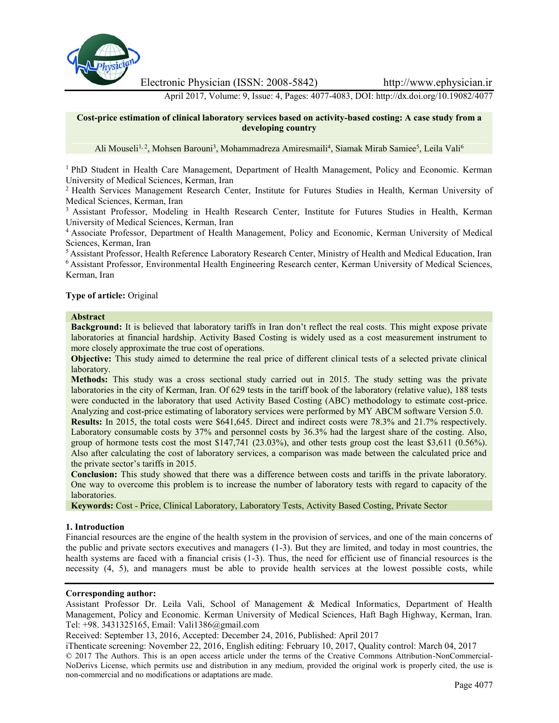

Electronic Physician (ISSN: 2008-5842) http://www.ephysician.ir

April 2017, Volume: 9, Issue: 4, Pages: 4077-4083, DOI: http://dx.doi.org/10.19082/4077

### **Cost-price estimation of clinical laboratory services based on activity-based costing: A casestudy from a developing country**

Ali Mouseli<sup>1, 2</sup>, Mohsen Barouni<sup>3</sup>, Mohammadreza Amiresmaili<sup>4</sup>, Siamak Mirab Samiee<sup>5</sup>, Leila Vali<sup>6</sup>

<sup>1</sup> PhD Student in Health Care Management, Department of Health Management, Policy and Economic. Kerman University of Medical Sciences, Kerman, Iran

<sup>2</sup> Health Services Management Research Center, Institute for Futures Studies in Health, Kerman University of Medical Sciences, Kerman, Iran

<sup>3</sup> Assistant Professor, Modeling in Health Research Center, Institute for Futures Studies in Health, Kerman University of Medical Sciences, Kerman, Iran

<sup>4</sup> Associate Professor, Department of Health Management, Policy and Economic, Kerman University of Medical Sciences, Kerman, Iran

<sup>5</sup> Assistant Professor, Health Reference Laboratory Research Center, Ministry of Health and Medical Education, Iran <sup>6</sup> Assistant Professor, Environmental Health Engineering Research center, Kerman University of Medical Sciences, Kerman, Iran

### **Type of article:** Original

# **Abstract**

**Background:** It is believed that laboratory tariffs in Iran don't reflect the real costs. This might expose private laboratories at financial hardship. Activity Based Costing is widely used as a cost measurement instrument to more closely approximate the true cost of operations.

**Objective:** This study aimed to determine the real price of different clinical tests of a selected private clinical laboratory.

**Methods:** This study was a cross sectional study carried out in 2015. The study setting was the private laboratories in the city of Kerman, Iran. Of 629 tests in the tariff book of the laboratory (relative value), 188 tests were conducted in the laboratory that used Activity Based Costing (ABC) methodology to estimate cost-price. Analyzing and cost-price estimating of laboratory services were performed by MY ABCM software Version 5.0.

**Results:** In 2015, the total costs were \$641,645. Direct and indirect costs were 78.3% and 21.7% respectively. Laboratory consumable costs by 37% and personnel costs by 36.3% had the largest share of the costing. Also, group of hormone tests cost the most \$147,741 (23.03%), and other tests group cost the least \$3,611 (0.56%). Also after calculating the cost of laboratory services, a comparison was made between the calculated price and the private sector's tariffs in 2015.

**Conclusion:** This study showed that there was a difference between costs and tariffs in the private laboratory. One way to overcome this problem is to increase the number of laboratory tests with regard to capacity of the laboratories.

**Keywords:** Cost - Price, Clinical Laboratory, Laboratory Tests, Activity Based Costing, Private Sector

#### **1. Introduction**

Financial resources are the engine of the health system in the provision of services, and one of the main concerns of the public and private sectors executives and managers (1-3). But they are limited, and today in most countries, the health systems are faced with a financial crisis (1-3). Thus, the need for efficient use of financial resources is the necessity (4, 5), and managers must be able to provide health services at the lowest possible costs, while

#### **Corresponding author:**

Assistant Professor Dr. Leila Vali, School of Management & Medical Informatics, Department of Health Management, Policy and Economic. Kerman University of Medical Sciences, Haft Bagh Highway, Kerman, Iran. Tel: +98. 3431325165, Email: Vali1386@gmail.com

Received: September 13, 2016, Accepted: December 24, 2016, Published: April 2017

iThenticate screening: November 22, 2016, English editing: February 10, 2017, Quality control: March 04, 2017 © 2017 The Authors. This is an open access article under the terms of the Creative Commons Attribution-NonCommercial- NoDerivs License, which permits use and distribution in any medium, provided the original work is properly cited, the use is non-commercial and no modifications or adaptations are made.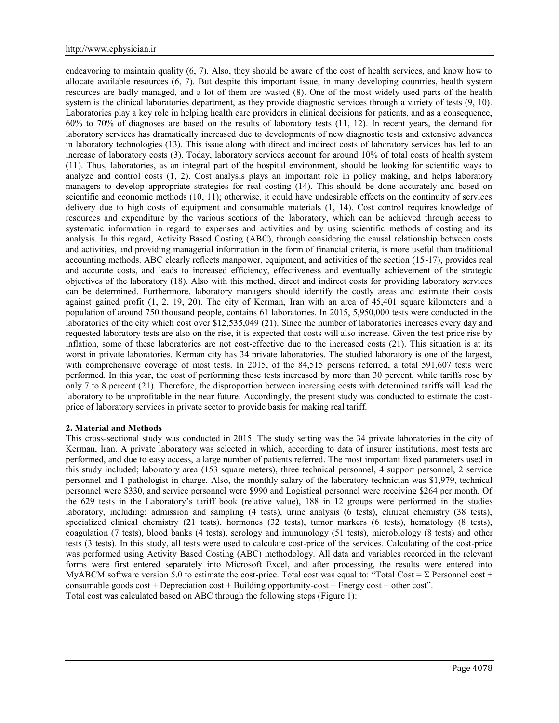endeavoring to maintain quality (6, 7). Also, they should be aware of the cost of health services, and know how to allocate available resources (6, 7). But despite this important issue, in many developing countries, health system resources are badly managed, and a lot of them are wasted (8). One of the most widely used parts of the health system is the clinical laboratories department, as they provide diagnostic services through a variety of tests (9, 10). Laboratories play a key role in helping health care providers in clinical decisions for patients, and as a consequence, 60% to 70% of diagnoses are based on the results of laboratory tests (11, 12). In recent years, the demand for laboratory services has dramatically increased due to developments of new diagnostic tests and extensive advances in laboratory technologies (13). This issue along with direct and indirect costs of laboratory services has led to an increase of laboratory costs (3). Today, laboratory services account for around 10% of total costs of health system (11). Thus, laboratories, as an integral part of the hospital environment, should be looking for scientific ways to analyze and control costs (1, 2). Cost analysis plays an important role in policy making, and helps laboratory managers to develop appropriate strategies for real costing (14). This should be done accurately and based on scientific and economic methods (10, 11); otherwise, it could have undesirable effects on the continuity of services delivery due to high costs of equipment and consumable materials (1, 14). Cost control requires knowledge of resources and expenditure by the various sections of the laboratory, which can be achieved through access to systematic information in regard to expenses and activities and by using scientific methods of costing and its analysis. In this regard, Activity Based Costing (ABC), through considering the causal relationship between costs and activities, and providing managerial information in the form of financial criteria, is more useful than traditional accounting methods. ABC clearly reflects manpower, equipment, and activities of the section (15-17), provides real and accurate costs, and leads to increased efficiency, effectiveness and eventually achievement of the strategic objectives of the laboratory (18). Also with this method, direct and indirect costs for providing laboratory services can be determined. Furthermore, laboratory managers should identify the costly areas and estimate their costs against gained profit (1, 2, 19, 20). The city of Kerman, Iran with an area of 45,401 square kilometers and a population of around 750 thousand people, contains 61 laboratories. In 2015, 5,950,000 tests were conducted in the laboratories of the city which cost over \$12,535,049 (21). Since the number of laboratories increases every day and requested laboratory tests are also on the rise, it is expected that costs will also increase. Given the test price rise by inflation, some of these laboratories are not cost-effective due to the increased costs (21). This situation is at its worst in private laboratories. Kerman city has 34 private laboratories. The studied laboratory is one of the largest, with comprehensive coverage of most tests. In 2015, of the 84,515 persons referred, a total 591,607 tests were performed. In this year, the cost of performing these tests increased by more than 30 percent, while tariffs rose by only 7 to 8 percent (21). Therefore, the disproportion between increasing costs with determined tariffs will lead the laboratory to be unprofitable in the near future. Accordingly, the present study was conducted to estimate the costprice of laboratory services in private sector to provide basis for making real tariff.

#### **2. Material and Methods**

This cross-sectional study was conducted in 2015. The study setting was the 34 private laboratories in the city of Kerman, Iran. A private laboratory was selected in which, according to data of insurer institutions, most tests are performed, and due to easy access, a large number of patients referred. The most important fixed parameters used in this study included; laboratory area (153 square meters), three technical personnel, 4 support personnel, 2 service personnel and 1 pathologist in charge. Also, the monthly salary of the laboratory technician was \$1,979, technical personnel were \$330, and service personnel were \$990 and Logistical personnel were receiving \$264 per month. Of the 629 tests in the Laboratory's tariff book (relative value), 188 in 12 groups were performed in the studies laboratory, including: admission and sampling (4 tests), urine analysis (6 tests), clinical chemistry (38 tests), specialized clinical chemistry (21 tests), hormones (32 tests), tumor markers (6 tests), hematology (8 tests), coagulation (7 tests), blood banks (4 tests), serology and immunology (51 tests), microbiology (8 tests) and other tests (3 tests). In this study, all tests were used to calculate cost-price of the services. Calculating of the cost-price was performed using Activity Based Costing (ABC) methodology. All data and variables recorded in the relevant forms were first entered separately into Microsoft Excel, and after processing, the results were entered into MyABCM software version 5.0 to estimate the cost-price. Total cost was equal to: "Total Cost =  $\Sigma$  Personnel cost + consumable goods  $cost + Depreciation cost + Building opportunity-cost + Energy cost + other cost$ . Total cost was calculated based on ABC through the following steps (Figure 1):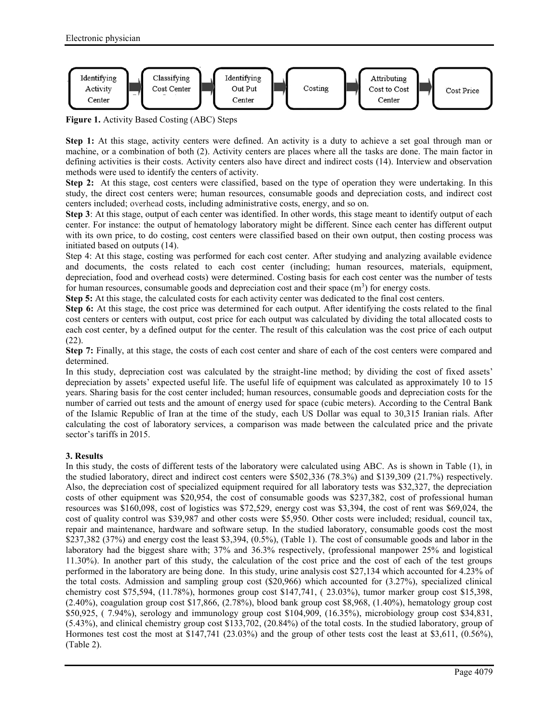

**Figure 1.** Activity Based Costing (ABC) Steps

**Step 1:** At this stage, activity centers were defined. An activity is a duty to achieve a set goal through man or machine, or a combination of both (2). Activity centers are places where all the tasks are done. The main factor in defining activities is their costs. Activity centers also have direct and indirect costs (14). Interview and observation methods were used to identify the centers of activity.

**Step 2:** At this stage, cost centers were classified, based on the type of operation they were undertaking. In this study, the direct cost centers were; human resources, consumable goods and depreciation costs, and indirect cost centers included; overhead costs, including administrative costs, energy, and so on.

**Step 3**: At this stage, output of each center was identified. In other words, this stage meant to identify output of each center. For instance: the output of hematology laboratory might be different. Since each center has different output with its own price, to do costing, cost centers were classified based on their own output, then costing process was initiated based on outputs (14).

Step 4: At this stage, costing was performed for each cost center. After studying and analyzing available evidence and documents, the costs related to each cost center (including; human resources, materials, equipment, depreciation, food and overhead costs) were determined. Costing basis for each cost center was the number of tests for human resources, consumable goods and depreciation cost and their space  $(m<sup>3</sup>)$  for energy costs.

**Step 5:** At this stage, the calculated costs for each activity center was dedicated to the final cost centers.

**Step 6:** At this stage, the cost price was determined for each output. After identifying the costs related to the final cost centers or centers with output, cost price for each output was calculated by dividing the total allocated costs to each cost center, by a defined output for the center. The result of this calculation was the cost price of each output (22).

**Step 7:** Finally, at this stage, the costs of each cost center and share of each of the cost centers were compared and determined.

In this study, depreciation cost was calculated by the straight-line method; by dividing the cost of fixed assets' depreciation by assets' expected useful life. The useful life of equipment was calculated as approximately 10 to 15 years. Sharing basis for the cost center included; human resources, consumable goods and depreciation costs for the number of carried out tests and the amount of energy used for space (cubic meters). According to the Central Bank of the Islamic Republic of Iran at the time of the study, each US Dollar was equal to 30,315 Iranian rials. After calculating the cost of laboratory services, a comparison was made between the calculated price and the private sector's tariffs in 2015.

# **3. Results**

In this study, the costs of different tests of the laboratory were calculated using ABC. As is shown in Table (1), in the studied laboratory, direct and indirect cost centers were \$502,336 (78.3%) and \$139,309 (21.7%) respectively. Also, the depreciation cost of specialized equipment required for all laboratory tests was \$32,327, the depreciation costs of other equipment was \$20,954, the cost of consumable goods was \$237,382, cost of professional human resources was \$160,098, cost of logistics was \$72,529, energy cost was \$3,394, the cost of rent was \$69,024, the cost of quality control was \$39,987 and other costs were \$5,950. Other costs were included; residual, council tax, repair and maintenance, hardware and software setup. In the studied laboratory, consumable goods cost the most  $$237,382$  (37%) and energy cost the least  $$3,394$ , (0.5%), (Table 1). The cost of consumable goods and labor in the laboratory had the biggest share with; 37% and 36.3% respectively, (professional manpower 25% and logistical 11.30%). In another part of this study, the calculation of the cost price and the cost of each of the test groups performed in the laboratory are being done. In this study, urine analysis cost \$27,134 which accounted for 4.23% of the total costs. Admission and sampling group cost (\$20,966) which accounted for (3.27%), specialized clinical chemistry cost \$75,594, (11.78%), hormones group cost \$147,741, ( 23.03%), tumor marker group cost \$15,398, (2.40%), coagulation group cost \$17,866, (2.78%), blood bank group cost \$8,968, (1.40%), hematology group cost \$50,925, ( 7.94%), serology and immunology group cost \$104,909, (16.35%), microbiology group cost \$34,831, (5.43%), and clinical chemistry group cost \$133,702, (20.84%) of the total costs. In the studied laboratory, group of Hormones test cost the most at \$147,741 (23.03%) and the group of other tests cost the least at \$3,611, (0.56%), (Table 2).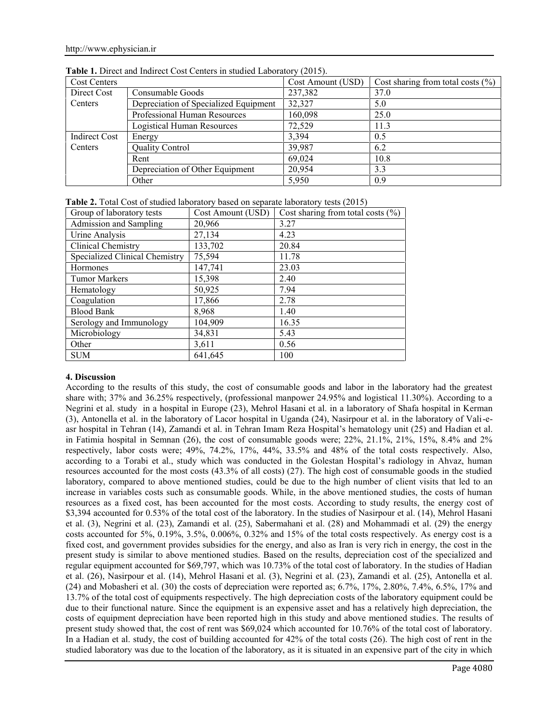| <b>Cost Centers</b>  |                                       | Cost Amount (USD) | Cost sharing from total costs $(\% )$ |
|----------------------|---------------------------------------|-------------------|---------------------------------------|
| Direct Cost          | Consumable Goods                      | 237,382           | 37.0                                  |
| Centers              | Depreciation of Specialized Equipment | 32,327            | 5.0                                   |
|                      | Professional Human Resources          | 160,098           | 25.0                                  |
|                      | Logistical Human Resources            | 72,529            | 11.3                                  |
| <b>Indirect Cost</b> | Energy                                | 3.394             | 0.5                                   |
| Centers              | <b>Quality Control</b>                | 39,987            | 6.2                                   |
|                      | Rent                                  | 69,024            | 10.8                                  |
|                      | Depreciation of Other Equipment       | 20,954            | 3.3                                   |
|                      | Other                                 | 5,950             | 0.9                                   |

**Table 1.** Direct and Indirect Cost Centers in studied Laboratory (2015).

|  | Table 2. Total Cost of studied laboratory based on separate laboratory tests (2015) |  |  |  |
|--|-------------------------------------------------------------------------------------|--|--|--|
|  |                                                                                     |  |  |  |

| Group of laboratory tests      | Cost Amount (USD) | Cost sharing from total costs $(\% )$ |  |  |  |
|--------------------------------|-------------------|---------------------------------------|--|--|--|
| <b>Admission and Sampling</b>  | 20,966            | 3.27                                  |  |  |  |
| Urine Analysis                 | 27,134            | 4.23                                  |  |  |  |
| Clinical Chemistry             | 133,702           | 20.84                                 |  |  |  |
| Specialized Clinical Chemistry | 75,594            | 11.78                                 |  |  |  |
| Hormones                       | 147,741           | 23.03                                 |  |  |  |
| <b>Tumor Markers</b>           | 15,398            | 2.40                                  |  |  |  |
| Hematology                     | 50,925            | 7.94                                  |  |  |  |
| Coagulation                    | 17,866            | 2.78                                  |  |  |  |
| <b>Blood Bank</b>              | 8,968             | 1.40                                  |  |  |  |
| Serology and Immunology        | 104,909           | 16.35                                 |  |  |  |
| Microbiology                   | 34,831            | 5.43                                  |  |  |  |
| Other                          | 3,611             | 0.56                                  |  |  |  |
| <b>SUM</b>                     | 641.645           | 100                                   |  |  |  |

# **4. Discussion**

According to the results of this study, the cost of consumable goods and labor in the laboratory had the greatest share with; 37% and 36.25% respectively, (professional manpower 24.95% and logistical 11.30%). According to a Negrini et al. study in a hospital in Europe (23), Mehrol Hasani et al. in a laboratory of Shafa hospital in Kerman (3), Antonella et al. in the laboratory of Lacor hospital in Uganda (24), Nasirpour et al. in the laboratory of Vali-e asr hospital in Tehran (14), Zamandi et al. in Tehran Imam Reza Hospital's hematology unit (25) and Hadian et al. in Fatimia hospital in Semnan (26), the cost of consumable goods were; 22%, 21.1%, 21%, 15%, 8.4% and 2% respectively, labor costs were; 49%, 74.2%, 17%, 44%, 33.5% and 48% of the total costs respectively. Also, according to a Torabi et al., study which was conducted in the Golestan Hospital's radiology in Ahvaz, human resources accounted for the most costs (43.3% of all costs) (27). The high cost of consumable goods in the studied laboratory, compared to above mentioned studies, could be due to the high number of client visits that led to an increase in variables costs such as consumable goods. While, in the above mentioned studies, the costs of human resources as a fixed cost, has been accounted for the most costs. According to study results, the energy cost of \$3,394 accounted for 0.53% of the total cost of the laboratory. In the studies of Nasirpour et al. (14), Mehrol Hasani et al. (3), Negrini et al. (23), Zamandi et al. (25), Sabermahani et al. (28) and Mohammadi et al. (29) the energy costs accounted for 5%, 0.19%, 3.5%, 0.006%, 0.32% and 15% of the total costs respectively. As energy cost is a fixed cost, and government provides subsidies for the energy, and also as Iran is very rich in energy, the cost in the present study is similar to above mentioned studies. Based on the results, depreciation cost of the specialized and regular equipment accounted for \$69,797, which was 10.73% of the total cost of laboratory. In the studies of Hadian et al. (26), Nasirpour et al. (14), Mehrol Hasani et al. (3), Negrini et al. (23), Zamandi et al. (25), Antonella et al. (24) and Mobasheri et al. (30) the costs of depreciation were reported as; 6.7%, 17%, 2.80%, 7.4%, 6.5%, 17% and 13.7% of the total cost of equipments respectively. The high depreciation costs of the laboratory equipment could be due to their functional nature. Since the equipment is an expensive asset and has a relatively high depreciation, the costs of equipment depreciation have been reported high in this study and above mentioned studies. The results of present study showed that, the cost of rent was \$69,024 which accounted for 10.76% of the total cost of laboratory. In a Hadian et al. study, the cost of building accounted for 42% of the total costs (26). The high cost of rent in the studied laboratory was due to the location of the laboratory, as it is situated in an expensive part of the city in which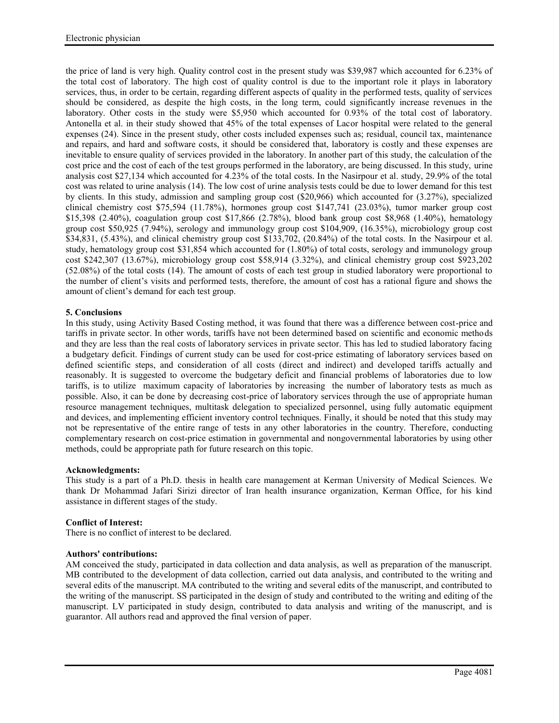the price of land is very high. Quality control cost in the present study was \$39,987 which accounted for 6.23% of the total cost of laboratory. The high cost of quality control is due to the important role it plays in laboratory services, thus, in order to be certain, regarding different aspects of quality in the performed tests, quality of services should be considered, as despite the high costs, in the long term, could significantly increase revenues in the laboratory. Other costs in the study were \$5,950 which accounted for 0.93% of the total cost of laboratory. Antonella et al. in their study showed that 45% of the total expenses of Lacor hospital were related to the general expenses (24). Since in the present study, other costs included expenses such as; residual, council tax, maintenance and repairs, and hard and software costs, it should be considered that, laboratory is costly and these expenses are inevitable to ensure quality of services provided in the laboratory. In another part of this study, the calculation of the cost price and the cost of each of the test groups performed in the laboratory, are being discussed. In this study, urine analysis cost \$27,134 which accounted for 4.23% of the total costs. In the Nasirpour et al. study, 29.9% of the total cost was related to urine analysis (14). The low cost of urine analysis tests could be due to lower demand for this test by clients. In this study, admission and sampling group cost (\$20,966) which accounted for (3.27%), specialized clinical chemistry cost \$75,594 (11.78%), hormones group cost \$147,741 (23.03%), tumor marker group cost \$15,398 (2.40%), coagulation group cost \$17,866 (2.78%), blood bank group cost \$8,968 (1.40%), hematology group cost \$50,925 (7.94%), serology and immunology group cost \$104,909, (16.35%), microbiology group cost \$34,831, (5.43%), and clinical chemistry group cost \$133,702, (20.84%) of the total costs. In the Nasirpour et al. study, hematology group cost \$31,854 which accounted for (1.80%) of total costs, serology and immunology group cost \$242,307 (13.67%), microbiology group cost \$58,914 (3.32%), and clinical chemistry group cost \$923,202 (52.08%) of the total costs (14). The amount of costs of each test group in studied laboratory were proportional to the number of client's visits and performed tests, therefore, the amount of cost has a rational figure and shows the amount of client's demand for each test group.

### **5. Conclusions**

In this study, using Activity Based Costing method, it was found that there was a difference between cost-price and tariffs in private sector. In other words, tariffs have not been determined based on scientific and economic methods and they are less than the real costs of laboratory services in private sector. This has led to studied laboratory facing a budgetary deficit. Findings of current study can be used for cost-price estimating of laboratory services based on defined scientific steps, and consideration of all costs (direct and indirect) and developed tariffs actually and reasonably. It is suggested to overcome the budgetary deficit and financial problems of laboratories due to low tariffs, is to utilize maximum capacity of laboratories by increasing the number of laboratory tests as much as possible. Also, it can be done by decreasing cost-price of laboratory services through the use of appropriate human resource management techniques, multitask delegation to specialized personnel, using fully automatic equipment and devices, and implementing efficient inventory control techniques. Finally, it should be noted that this study may not be representative of the entire range of tests in any other laboratories in the country. Therefore, conducting complementary research on cost-price estimation in governmental and nongovernmental laboratories by using other methods, could be appropriate path for future research on this topic.

#### **Acknowledgments:**

This study is a part of a Ph.D. thesis in health care management at Kerman University of Medical Sciences. We thank Dr Mohammad Jafari Sirizi director of Iran health insurance organization, Kerman Office, for his kind assistance in different stages of the study.

# **Conflict of Interest:**

There is no conflict of interest to be declared.

# **Authors' contributions:**

AM conceived the study, participated in data collection and data analysis, as well as preparation of the manuscript. MB contributed to the development of data collection, carried out data analysis, and contributed to the writing and several edits of the manuscript. MA contributed to the writing and several edits of the manuscript, and contributed to the writing of the manuscript. SS participated in the design of study and contributed to the writing and editing of the manuscript. LV participated in study design, contributed to data analysis and writing of the manuscript, and is guarantor. All authors read and approved the final version of paper.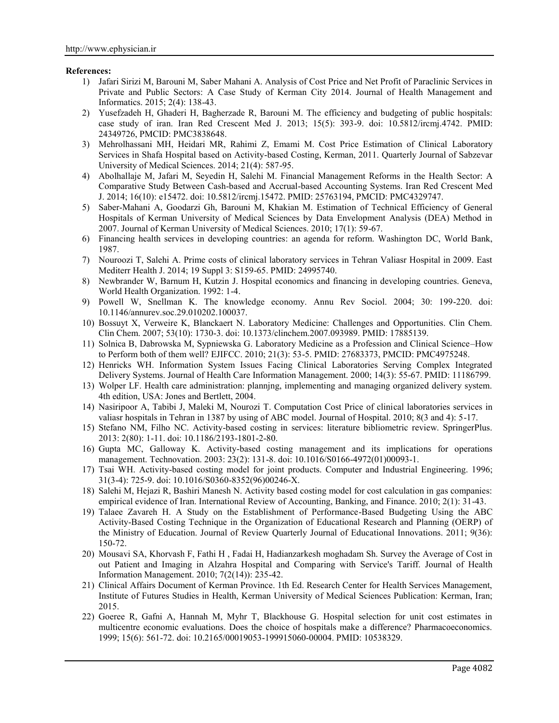### **References:**

- 1) Jafari Sirizi M, Barouni M, Saber Mahani A. Analysis of Cost Price and Net Profit of Paraclinic Services in Private and Public Sectors: A Case Study of Kerman City 2014. Journal of Health Management and Informatics. 2015; 2(4): 138-43.
- 2) Yusefzadeh H, Ghaderi H, Bagherzade R, Barouni M. The efficiency and budgeting of public hospitals: case study of iran. Iran Red Crescent Med J. 2013; 15(5): 393-9. doi: 10.5812/ircmj.4742. PMID: 24349726, PMCID: PMC3838648.
- 3) Mehrolhassani MH, Heidari MR, Rahimi Z, Emami M. Cost Price Estimation of Clinical Laboratory Services in Shafa Hospital based on Activity-based Costing, Kerman, 2011. Quarterly Journal of Sabzevar University of Medical Sciences. 2014; 21(4): 587-95.
- 4) Abolhallaje M, Jafari M, Seyedin H, Salehi M. Financial Management Reforms in the Health Sector: A Comparative Study Between Cash-based and Accrual-based Accounting Systems. Iran Red Crescent Med J. 2014; 16(10): e15472. doi: 10.5812/ircmj.15472. PMID: 25763194, PMCID: PMC4329747.
- 5) Saber-Mahani A, Goodarzi Gh, Barouni M, Khakian M. Estimation of Technical Efficiency of General Hospitals of Kerman University of Medical Sciences by Data Envelopment Analysis (DEA) Method in 2007. Journal of Kerman University of Medical Sciences. 2010; 17(1): 59-67.
- 6) Financing health services in developing countries: an agenda for reform. Washington DC, World Bank, 1987.
- 7) Nouroozi T, Salehi A. Prime costs of clinical laboratory services in Tehran Valiasr Hospital in 2009. East Mediterr Health J. 2014; 19 Suppl 3: S159-65. PMID: 24995740.
- 8) Newbrander W, Barnum H, Kutzin J. Hospital economics and financing in developing countries. Geneva, World Health Organization. 1992: 1-4.
- 9) Powell W, Snellman K. The knowledge economy. Annu Rev Sociol. 2004; 30: 199-220. doi: 10.1146/annurev.soc.29.010202.100037.
- 10) Bossuyt X, Verweire K, Blanckaert N. Laboratory Medicine: Challenges and Opportunities. Clin Chem. Clin Chem. 2007; 53(10): 1730-3. doi: 10.1373/clinchem.2007.093989. PMID: 17885139.
- 11) Solnica B, Dabrowska M, Sypniewska G. Laboratory Medicine as a Profession and Clinical Science–How to Perform both of them well? EJIFCC. 2010; 21(3): 53-5. PMID: 27683373, PMCID: PMC4975248.
- 12) Henricks WH. Information System Issues Facing Clinical Laboratories Serving Complex Integrated Delivery Systems. Journal of Health Care Information Management. 2000; 14(3): 55-67. PMID: 11186799.
- 13) Wolper LF. Health care administration: plannjng, implementing and managing organized delivery system. 4th edition, USA: Jones and Bertlett, 2004.
- 14) Nasiripoor A, Tabibi J, Maleki M, Nourozi T. Computation Cost Price of clinical laboratories services in valiasr hospitals in Tehran in 1387 by using of ABC model. Journal of Hospital. 2010; 8(3 and 4): 5-17.
- 15) Stefano NM, Filho NC. Activity-based costing in services: literature bibliometric review. SpringerPlus. 2013: 2(80): 1-11. doi: 10.1186/2193-1801-2-80.
- 16) Gupta MC, Galloway K. Activity-based costing management and its implications for operations management. Technovation. 2003: 23(2): 131-8. doi: 10.1016/S0166-4972(01)00093-1.
- 17) Tsai WH. Activity-based costing model for joint products. Computer and Industrial Engineering. 1996; 31(3-4): 725-9. doi: 10.1016/S0360-8352(96)00246-X.
- 18) Salehi M, Hejazi R, Bashiri Manesh N. Activity based costing model for cost calculation in gas companies: empirical evidence of Iran. International Review of Accounting, Banking, and Finance. 2010; 2(1): 31-43.
- 19) Talaee Zavareh H. A Study on the Establishment of Performance-Based Budgeting Using the ABC Activity-Based Costing Technique in the Organization of Educational Research and Planning (OERP) of the Ministry of Education. Journal of Review Quarterly Journal of Educational Innovations. 2011; 9(36): 150-72.
- 20) Mousavi SA, Khorvash F, Fathi H , Fadai H, Hadianzarkesh moghadam Sh. Survey the Average of Cost in out Patient and Imaging in Alzahra Hospital and Comparing with Service's Tariff. Journal of Health Information Management. 2010; 7(2(14)): 235-42.
- 21) Clinical Affairs Document of Kerman Province. 1th Ed. Research Center for Health Services Management, Institute of Futures Studies in Health, Kerman University of Medical Sciences Publication: Kerman, Iran; 2015.
- 22) Goeree R, Gafni A, Hannah M, Myhr T, Blackhouse G. Hospital selection for unit cost estimates in multicentre economic evaluations. Does the choice of hospitals make a difference? Pharmacoeconomics. 1999; 15(6): 561-72. doi: 10.2165/00019053-199915060-00004. PMID: 10538329.